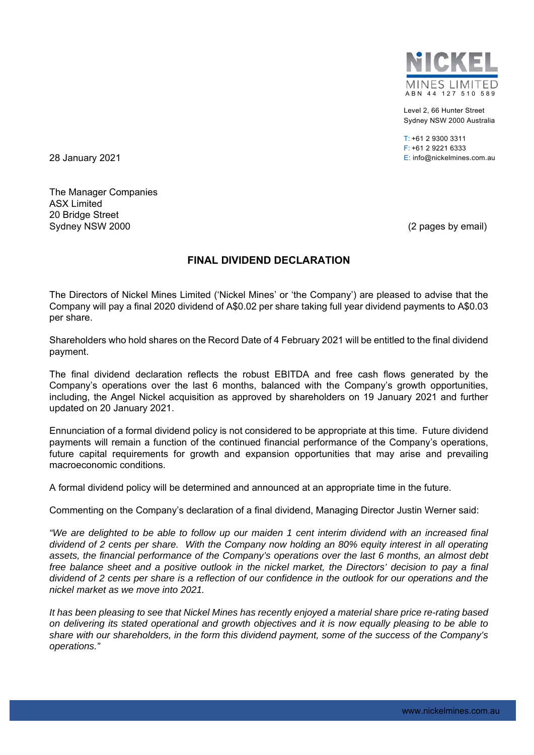

Level 2, 66 Hunter Street Sydney NSW 2000 Australia

 $T: +61293003311$ F: +61 2 9221 6333 28 January 2021 E: info@nickelmines.com.au

The Manager Companies ASX Limited 20 Bridge Street Sydney NSW 2000 (2 pages by email)

## **FINAL DIVIDEND DECLARATION**

The Directors of Nickel Mines Limited ('Nickel Mines' or 'the Company') are pleased to advise that the Company will pay a final 2020 dividend of A\$0.02 per share taking full year dividend payments to A\$0.03 per share.

Shareholders who hold shares on the Record Date of 4 February 2021 will be entitled to the final dividend payment.

The final dividend declaration reflects the robust EBITDA and free cash flows generated by the Company's operations over the last 6 months, balanced with the Company's growth opportunities, including, the Angel Nickel acquisition as approved by shareholders on 19 January 2021 and further updated on 20 January 2021.

Ennunciation of a formal dividend policy is not considered to be appropriate at this time. Future dividend payments will remain a function of the continued financial performance of the Company's operations, future capital requirements for growth and expansion opportunities that may arise and prevailing macroeconomic conditions.

A formal dividend policy will be determined and announced at an appropriate time in the future.

Commenting on the Company's declaration of a final dividend, Managing Director Justin Werner said:

*"We are delighted to be able to follow up our maiden 1 cent interim dividend with an increased final dividend of 2 cents per share. With the Company now holding an 80% equity interest in all operating assets, the financial performance of the Company's operations over the last 6 months, an almost debt free balance sheet and a positive outlook in the nickel market, the Directors' decision to pay a final dividend of 2 cents per share is a reflection of our confidence in the outlook for our operations and the nickel market as we move into 2021.* 

*It has been pleasing to see that Nickel Mines has recently enjoyed a material share price re-rating based on delivering its stated operational and growth objectives and it is now equally pleasing to be able to share with our shareholders, in the form this dividend payment, some of the success of the Company's operations."*